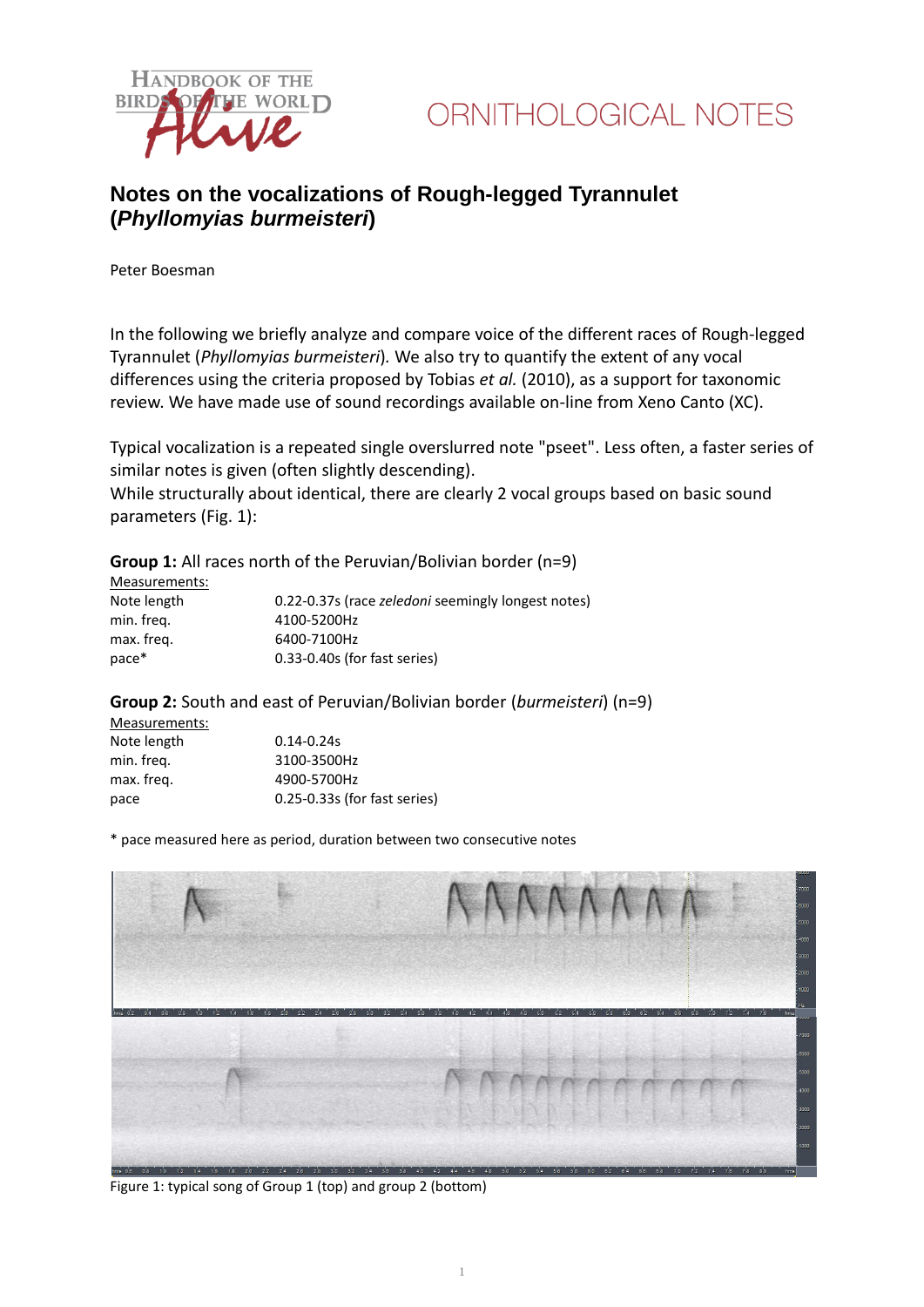



## **Notes on the vocalizations of Rough-legged Tyrannulet (***Phyllomyias burmeisteri***)**

Peter Boesman

In the following we briefly analyze and compare voice of the different races of Rough-legged Tyrannulet (*Phyllomyias burmeisteri*)*.* We also try to quantify the extent of any vocal differences using the criteria proposed by Tobias *et al.* (2010), as a support for taxonomic review. We have made use of sound recordings available on-line from Xeno Canto (XC).

Typical vocalization is a repeated single overslurred note "pseet". Less often, a faster series of similar notes is given (often slightly descending).

While structurally about identical, there are clearly 2 vocal groups based on basic sound parameters (Fig. 1):

**Group 1:** All races north of the Peruvian/Bolivian border (n=9)

| Measurements: |                                                           |
|---------------|-----------------------------------------------------------|
| Note length   | 0.22-0.37s (race <i>zeledoni</i> seemingly longest notes) |
| min. freg.    | 4100-5200Hz                                               |
| max. freg.    | 6400-7100Hz                                               |
| pace*         | 0.33-0.40s (for fast series)                              |

## **Group 2:** South and east of Peruvian/Bolivian border (*burmeisteri*) (n=9)

| Measurements: |                                  |
|---------------|----------------------------------|
| Note length   | $0.14 - 0.24s$                   |
| min. freq.    | 3100-3500Hz                      |
| max. freq.    | 4900-5700Hz                      |
| pace          | $0.25 - 0.33s$ (for fast series) |

\* pace measured here as period, duration between two consecutive notes



Figure 1: typical song of Group 1 (top) and group 2 (bottom)